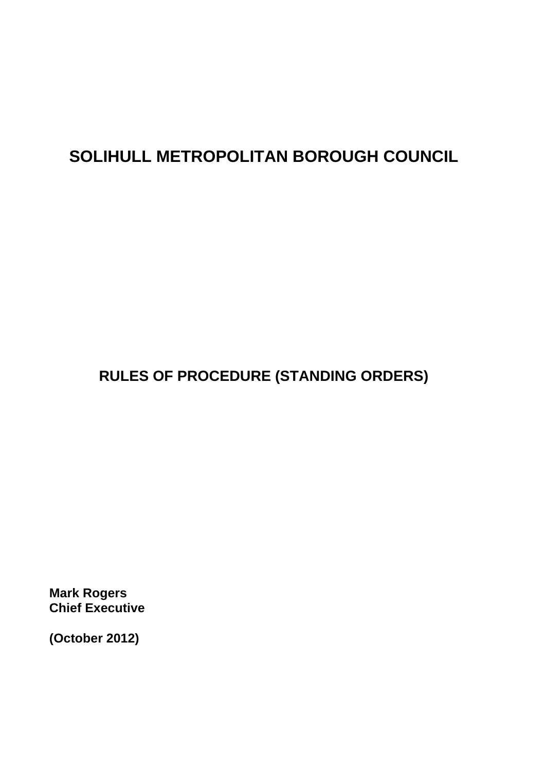# **SOLIHULL METROPOLITAN BOROUGH COUNCIL**

# **RULES OF PROCEDURE (STANDING ORDERS)**

**Mark Rogers Chief Executive** 

**(October 2012)**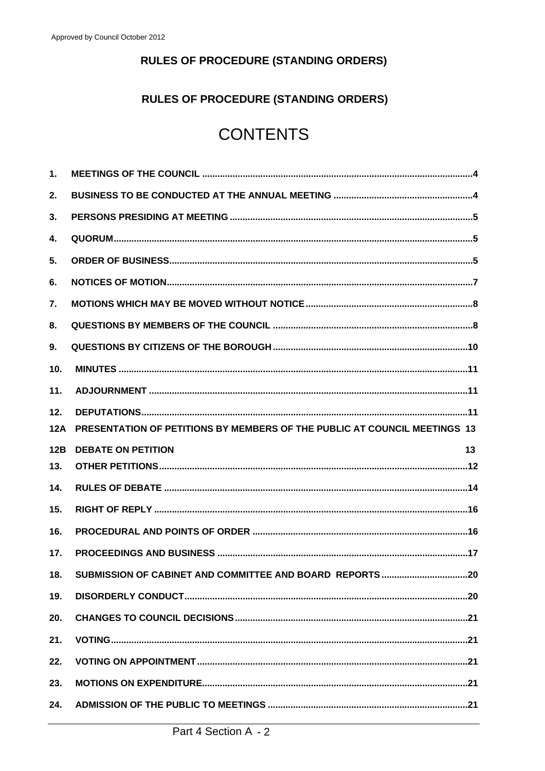## RULES OF PROCEDURE (STANDING ORDERS)

## **RULES OF PROCEDURE (STANDING ORDERS)**

# **CONTENTS**

| 1.  |                                                                           |
|-----|---------------------------------------------------------------------------|
| 2.  |                                                                           |
| 3.  |                                                                           |
| 4.  |                                                                           |
| 5.  |                                                                           |
| 6.  |                                                                           |
| 7.  |                                                                           |
| 8.  |                                                                           |
| 9.  |                                                                           |
| 10. |                                                                           |
| 11. |                                                                           |
| 12. |                                                                           |
| 12A | PRESENTATION OF PETITIONS BY MEMBERS OF THE PUBLIC AT COUNCIL MEETINGS 13 |
| 12B | 13<br><b>DEBATE ON PETITION</b>                                           |
| 13. |                                                                           |
| 14. |                                                                           |
| 15. |                                                                           |
| 16. |                                                                           |
| 17. |                                                                           |
| 18. |                                                                           |
| 19. |                                                                           |
| 20. |                                                                           |
| 21. |                                                                           |
| 22. |                                                                           |
| 23. |                                                                           |
| 24. |                                                                           |
|     |                                                                           |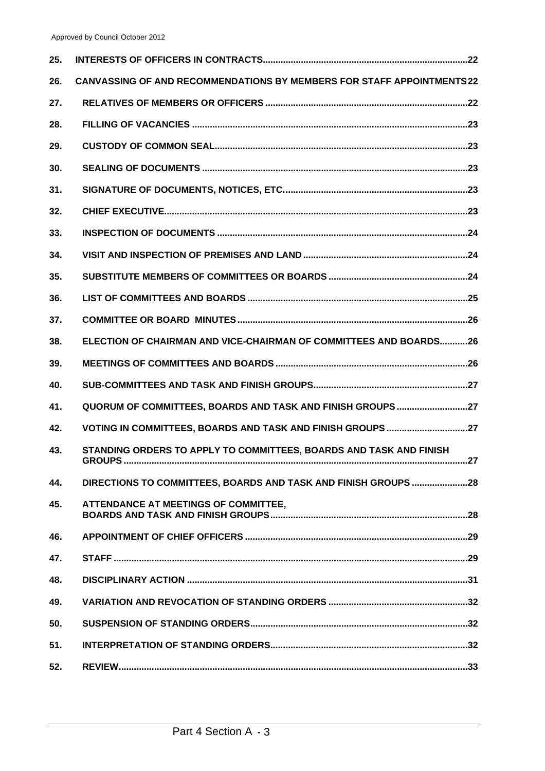| 25. |                                                                                            |
|-----|--------------------------------------------------------------------------------------------|
| 26. | <b>CANVASSING OF AND RECOMMENDATIONS BY MEMBERS FOR STAFF APPOINTMENTS22</b>               |
| 27. |                                                                                            |
| 28. |                                                                                            |
| 29. |                                                                                            |
| 30. |                                                                                            |
| 31. |                                                                                            |
| 32. |                                                                                            |
| 33. |                                                                                            |
| 34. |                                                                                            |
| 35. |                                                                                            |
| 36. |                                                                                            |
| 37. |                                                                                            |
| 38. | ELECTION OF CHAIRMAN AND VICE-CHAIRMAN OF COMMITTEES AND BOARDS26                          |
| 39. |                                                                                            |
| 40. |                                                                                            |
| 41. | QUORUM OF COMMITTEES, BOARDS AND TASK AND FINISH GROUPS 27                                 |
| 42. |                                                                                            |
| 43. | STANDING ORDERS TO APPLY TO COMMITTEES, BOARDS AND TASK AND FINISH<br><b>GROUPS</b><br>.27 |
| 44. | DIRECTIONS TO COMMITTEES, BOARDS AND TASK AND FINISH GROUPS 28                             |
| 45. | <b>ATTENDANCE AT MEETINGS OF COMMITTEE,</b>                                                |
| 46. |                                                                                            |
| 47. |                                                                                            |
| 48. |                                                                                            |
| 49. |                                                                                            |
| 50. |                                                                                            |
| 51. |                                                                                            |
| 52. |                                                                                            |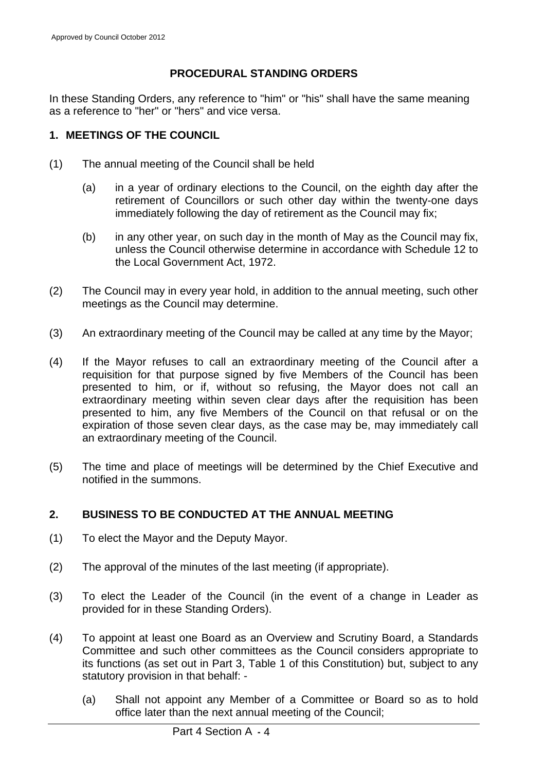## **PROCEDURAL STANDING ORDERS**

In these Standing Orders, any reference to "him" or "his" shall have the same meaning as a reference to "her" or "hers" and vice versa.

## **1. MEETINGS OF THE COUNCIL**

- (1) The annual meeting of the Council shall be held
	- (a) in a year of ordinary elections to the Council, on the eighth day after the retirement of Councillors or such other day within the twenty-one days immediately following the day of retirement as the Council may fix;
	- (b) in any other year, on such day in the month of May as the Council may fix, unless the Council otherwise determine in accordance with Schedule 12 to the Local Government Act, 1972.
- (2) The Council may in every year hold, in addition to the annual meeting, such other meetings as the Council may determine.
- (3) An extraordinary meeting of the Council may be called at any time by the Mayor;
- (4) If the Mayor refuses to call an extraordinary meeting of the Council after a requisition for that purpose signed by five Members of the Council has been presented to him, or if, without so refusing, the Mayor does not call an extraordinary meeting within seven clear days after the requisition has been presented to him, any five Members of the Council on that refusal or on the expiration of those seven clear days, as the case may be, may immediately call an extraordinary meeting of the Council.
- (5) The time and place of meetings will be determined by the Chief Executive and notified in the summons.

## **2. BUSINESS TO BE CONDUCTED AT THE ANNUAL MEETING**

- (1) To elect the Mayor and the Deputy Mayor.
- (2) The approval of the minutes of the last meeting (if appropriate).
- (3) To elect the Leader of the Council (in the event of a change in Leader as provided for in these Standing Orders).
- (4) To appoint at least one Board as an Overview and Scrutiny Board, a Standards Committee and such other committees as the Council considers appropriate to its functions (as set out in Part 3, Table 1 of this Constitution) but, subject to any statutory provision in that behalf: -
	- (a) Shall not appoint any Member of a Committee or Board so as to hold office later than the next annual meeting of the Council;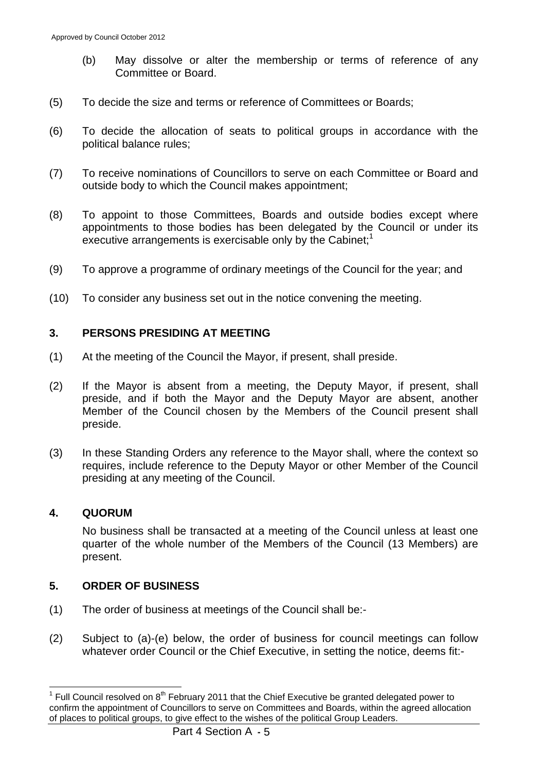- (b) May dissolve or alter the membership or terms of reference of any Committee or Board.
- (5) To decide the size and terms or reference of Committees or Boards;
- (6) To decide the allocation of seats to political groups in accordance with the political balance rules;
- (7) To receive nominations of Councillors to serve on each Committee or Board and outside body to which the Council makes appointment;
- (8) To appoint to those Committees, Boards and outside bodies except where appointments to those bodies has been delegated by the Council or under its executive arrangements is exercisable only by the Cabinet;<sup>1</sup>
- (9) To approve a programme of ordinary meetings of the Council for the year; and
- (10) To consider any business set out in the notice convening the meeting.

#### **3. PERSONS PRESIDING AT MEETING**

- (1) At the meeting of the Council the Mayor, if present, shall preside.
- (2) If the Mayor is absent from a meeting, the Deputy Mayor, if present, shall preside, and if both the Mayor and the Deputy Mayor are absent, another Member of the Council chosen by the Members of the Council present shall preside.
- (3) In these Standing Orders any reference to the Mayor shall, where the context so requires, include reference to the Deputy Mayor or other Member of the Council presiding at any meeting of the Council.

#### **4. QUORUM**

No business shall be transacted at a meeting of the Council unless at least one quarter of the whole number of the Members of the Council (13 Members) are present.

#### **5. ORDER OF BUSINESS**

- (1) The order of business at meetings of the Council shall be:-
- (2) Subject to (a)-(e) below, the order of business for council meetings can follow whatever order Council or the Chief Executive, in setting the notice, deems fit:-

l <sup>1</sup> Full Council resolved on  $8<sup>th</sup>$  February 2011 that the Chief Executive be granted delegated power to confirm the appointment of Councillors to serve on Committees and Boards, within the agreed allocation of places to political groups, to give effect to the wishes of the political Group Leaders.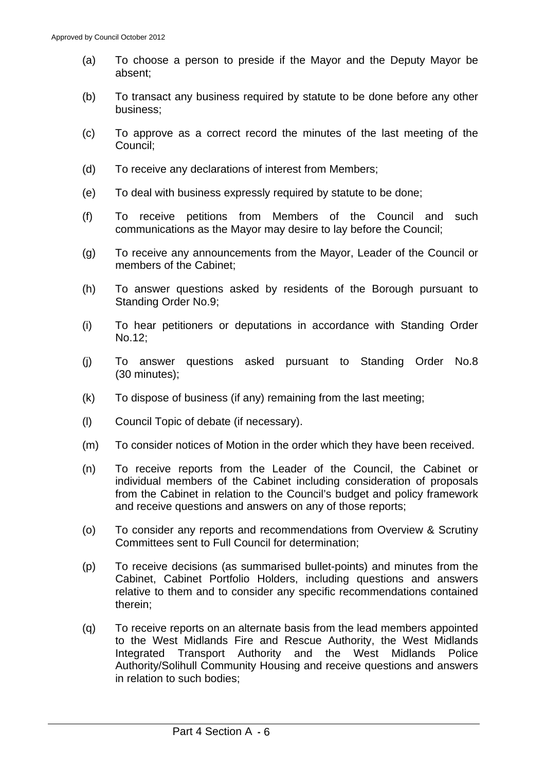- (a) To choose a person to preside if the Mayor and the Deputy Mayor be absent;
- (b) To transact any business required by statute to be done before any other business;
- (c) To approve as a correct record the minutes of the last meeting of the Council;
- (d) To receive any declarations of interest from Members;
- (e) To deal with business expressly required by statute to be done;
- (f) To receive petitions from Members of the Council and such communications as the Mayor may desire to lay before the Council;
- (g) To receive any announcements from the Mayor, Leader of the Council or members of the Cabinet;
- (h) To answer questions asked by residents of the Borough pursuant to Standing Order No.9;
- (i) To hear petitioners or deputations in accordance with Standing Order No.12;
- (j) To answer questions asked pursuant to Standing Order No.8 (30 minutes);
- (k) To dispose of business (if any) remaining from the last meeting;
- (l) Council Topic of debate (if necessary).
- (m) To consider notices of Motion in the order which they have been received.
- (n) To receive reports from the Leader of the Council, the Cabinet or individual members of the Cabinet including consideration of proposals from the Cabinet in relation to the Council's budget and policy framework and receive questions and answers on any of those reports;
- (o) To consider any reports and recommendations from Overview & Scrutiny Committees sent to Full Council for determination;
- (p) To receive decisions (as summarised bullet-points) and minutes from the Cabinet, Cabinet Portfolio Holders, including questions and answers relative to them and to consider any specific recommendations contained therein;
- (q) To receive reports on an alternate basis from the lead members appointed to the West Midlands Fire and Rescue Authority, the West Midlands Integrated Transport Authority and the West Midlands Police Authority/Solihull Community Housing and receive questions and answers in relation to such bodies;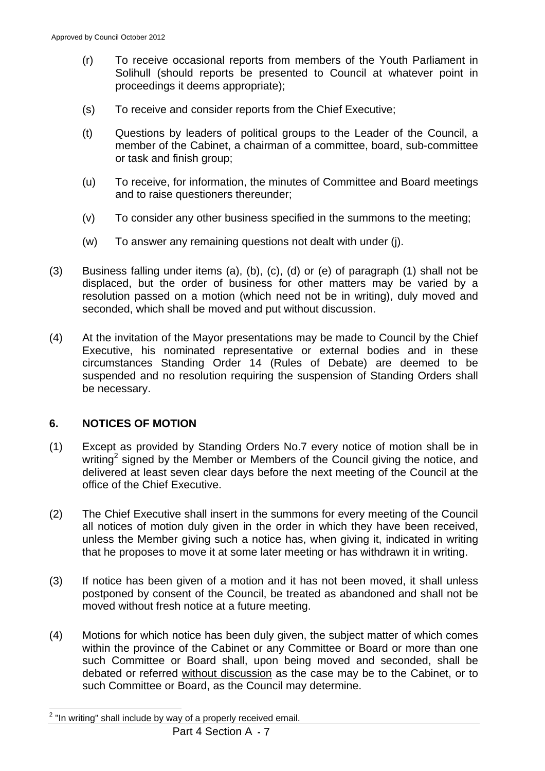- (r) To receive occasional reports from members of the Youth Parliament in Solihull (should reports be presented to Council at whatever point in proceedings it deems appropriate);
- (s) To receive and consider reports from the Chief Executive;
- (t) Questions by leaders of political groups to the Leader of the Council, a member of the Cabinet, a chairman of a committee, board, sub-committee or task and finish group;
- (u) To receive, for information, the minutes of Committee and Board meetings and to raise questioners thereunder;
- (v) To consider any other business specified in the summons to the meeting;
- (w) To answer any remaining questions not dealt with under (j).
- (3) Business falling under items (a), (b), (c), (d) or (e) of paragraph (1) shall not be displaced, but the order of business for other matters may be varied by a resolution passed on a motion (which need not be in writing), duly moved and seconded, which shall be moved and put without discussion.
- (4) At the invitation of the Mayor presentations may be made to Council by the Chief Executive, his nominated representative or external bodies and in these circumstances Standing Order 14 (Rules of Debate) are deemed to be suspended and no resolution requiring the suspension of Standing Orders shall be necessary.

#### **6. NOTICES OF MOTION**

- (1) Except as provided by Standing Orders No.7 every notice of motion shall be in writing<sup>2</sup> signed by the Member or Members of the Council giving the notice, and delivered at least seven clear days before the next meeting of the Council at the office of the Chief Executive.
- (2) The Chief Executive shall insert in the summons for every meeting of the Council all notices of motion duly given in the order in which they have been received, unless the Member giving such a notice has, when giving it, indicated in writing that he proposes to move it at some later meeting or has withdrawn it in writing.
- (3) If notice has been given of a motion and it has not been moved, it shall unless postponed by consent of the Council, be treated as abandoned and shall not be moved without fresh notice at a future meeting.
- (4) Motions for which notice has been duly given, the subject matter of which comes within the province of the Cabinet or any Committee or Board or more than one such Committee or Board shall, upon being moved and seconded, shall be debated or referred without discussion as the case may be to the Cabinet, or to such Committee or Board, as the Council may determine.

l

<sup>2</sup> "In writing" shall include by way of a properly received email.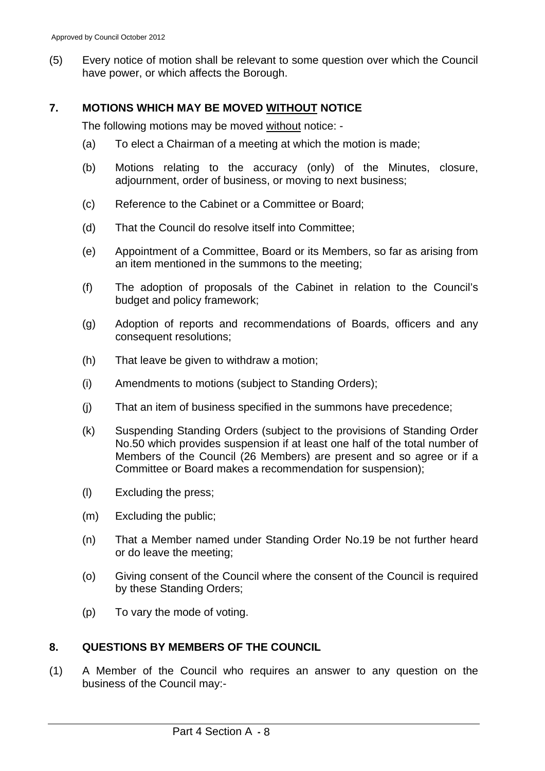(5) Every notice of motion shall be relevant to some question over which the Council have power, or which affects the Borough.

#### **7. MOTIONS WHICH MAY BE MOVED WITHOUT NOTICE**

The following motions may be moved without notice: -

- (a) To elect a Chairman of a meeting at which the motion is made;
- (b) Motions relating to the accuracy (only) of the Minutes, closure, adjournment, order of business, or moving to next business;
- (c) Reference to the Cabinet or a Committee or Board;
- (d) That the Council do resolve itself into Committee;
- (e) Appointment of a Committee, Board or its Members, so far as arising from an item mentioned in the summons to the meeting;
- (f) The adoption of proposals of the Cabinet in relation to the Council's budget and policy framework;
- (g) Adoption of reports and recommendations of Boards, officers and any consequent resolutions;
- (h) That leave be given to withdraw a motion;
- (i) Amendments to motions (subject to Standing Orders);
- (j) That an item of business specified in the summons have precedence;
- (k) Suspending Standing Orders (subject to the provisions of Standing Order No.50 which provides suspension if at least one half of the total number of Members of the Council (26 Members) are present and so agree or if a Committee or Board makes a recommendation for suspension);
- (l) Excluding the press;
- (m) Excluding the public;
- (n) That a Member named under Standing Order No.19 be not further heard or do leave the meeting;
- (o) Giving consent of the Council where the consent of the Council is required by these Standing Orders;
- (p) To vary the mode of voting.

#### **8. QUESTIONS BY MEMBERS OF THE COUNCIL**

(1) A Member of the Council who requires an answer to any question on the business of the Council may:-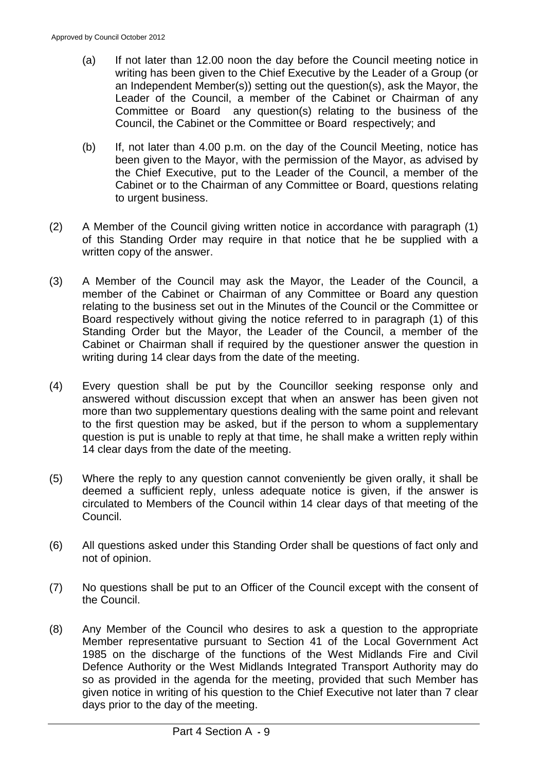- (a) If not later than 12.00 noon the day before the Council meeting notice in writing has been given to the Chief Executive by the Leader of a Group (or an Independent Member(s)) setting out the question(s), ask the Mayor, the Leader of the Council, a member of the Cabinet or Chairman of any Committee or Board any question(s) relating to the business of the Council, the Cabinet or the Committee or Board respectively; and
- (b) If, not later than 4.00 p.m. on the day of the Council Meeting, notice has been given to the Mayor, with the permission of the Mayor, as advised by the Chief Executive, put to the Leader of the Council, a member of the Cabinet or to the Chairman of any Committee or Board, questions relating to urgent business.
- (2) A Member of the Council giving written notice in accordance with paragraph (1) of this Standing Order may require in that notice that he be supplied with a written copy of the answer.
- (3) A Member of the Council may ask the Mayor, the Leader of the Council, a member of the Cabinet or Chairman of any Committee or Board any question relating to the business set out in the Minutes of the Council or the Committee or Board respectively without giving the notice referred to in paragraph (1) of this Standing Order but the Mayor, the Leader of the Council, a member of the Cabinet or Chairman shall if required by the questioner answer the question in writing during 14 clear days from the date of the meeting.
- (4) Every question shall be put by the Councillor seeking response only and answered without discussion except that when an answer has been given not more than two supplementary questions dealing with the same point and relevant to the first question may be asked, but if the person to whom a supplementary question is put is unable to reply at that time, he shall make a written reply within 14 clear days from the date of the meeting.
- (5) Where the reply to any question cannot conveniently be given orally, it shall be deemed a sufficient reply, unless adequate notice is given, if the answer is circulated to Members of the Council within 14 clear days of that meeting of the Council.
- (6) All questions asked under this Standing Order shall be questions of fact only and not of opinion.
- (7) No questions shall be put to an Officer of the Council except with the consent of the Council.
- (8) Any Member of the Council who desires to ask a question to the appropriate Member representative pursuant to Section 41 of the Local Government Act 1985 on the discharge of the functions of the West Midlands Fire and Civil Defence Authority or the West Midlands Integrated Transport Authority may do so as provided in the agenda for the meeting, provided that such Member has given notice in writing of his question to the Chief Executive not later than 7 clear days prior to the day of the meeting.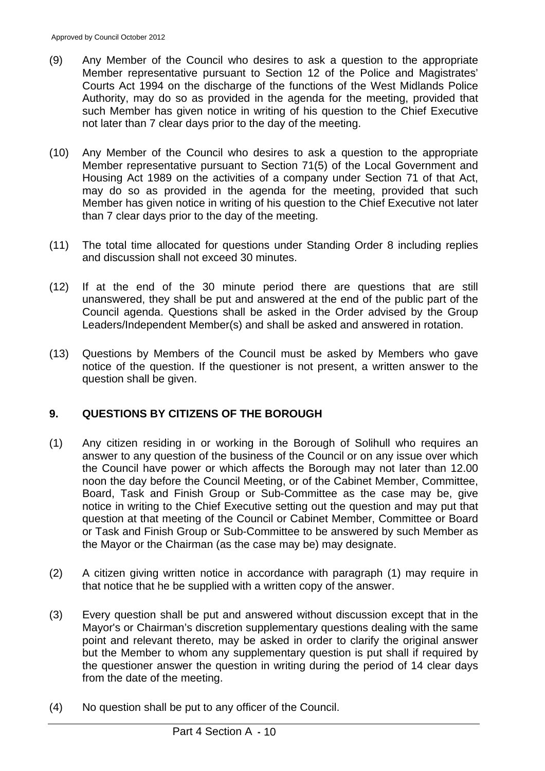- (9) Any Member of the Council who desires to ask a question to the appropriate Member representative pursuant to Section 12 of the Police and Magistrates' Courts Act 1994 on the discharge of the functions of the West Midlands Police Authority, may do so as provided in the agenda for the meeting, provided that such Member has given notice in writing of his question to the Chief Executive not later than 7 clear days prior to the day of the meeting.
- (10) Any Member of the Council who desires to ask a question to the appropriate Member representative pursuant to Section 71(5) of the Local Government and Housing Act 1989 on the activities of a company under Section 71 of that Act, may do so as provided in the agenda for the meeting, provided that such Member has given notice in writing of his question to the Chief Executive not later than 7 clear days prior to the day of the meeting.
- (11) The total time allocated for questions under Standing Order 8 including replies and discussion shall not exceed 30 minutes.
- (12) If at the end of the 30 minute period there are questions that are still unanswered, they shall be put and answered at the end of the public part of the Council agenda. Questions shall be asked in the Order advised by the Group Leaders/Independent Member(s) and shall be asked and answered in rotation.
- (13) Questions by Members of the Council must be asked by Members who gave notice of the question. If the questioner is not present, a written answer to the question shall be given.

## **9. QUESTIONS BY CITIZENS OF THE BOROUGH**

- (1) Any citizen residing in or working in the Borough of Solihull who requires an answer to any question of the business of the Council or on any issue over which the Council have power or which affects the Borough may not later than 12.00 noon the day before the Council Meeting, or of the Cabinet Member, Committee, Board, Task and Finish Group or Sub-Committee as the case may be, give notice in writing to the Chief Executive setting out the question and may put that question at that meeting of the Council or Cabinet Member, Committee or Board or Task and Finish Group or Sub-Committee to be answered by such Member as the Mayor or the Chairman (as the case may be) may designate.
- (2) A citizen giving written notice in accordance with paragraph (1) may require in that notice that he be supplied with a written copy of the answer.
- (3) Every question shall be put and answered without discussion except that in the Mayor's or Chairman's discretion supplementary questions dealing with the same point and relevant thereto, may be asked in order to clarify the original answer but the Member to whom any supplementary question is put shall if required by the questioner answer the question in writing during the period of 14 clear days from the date of the meeting.
- (4) No question shall be put to any officer of the Council.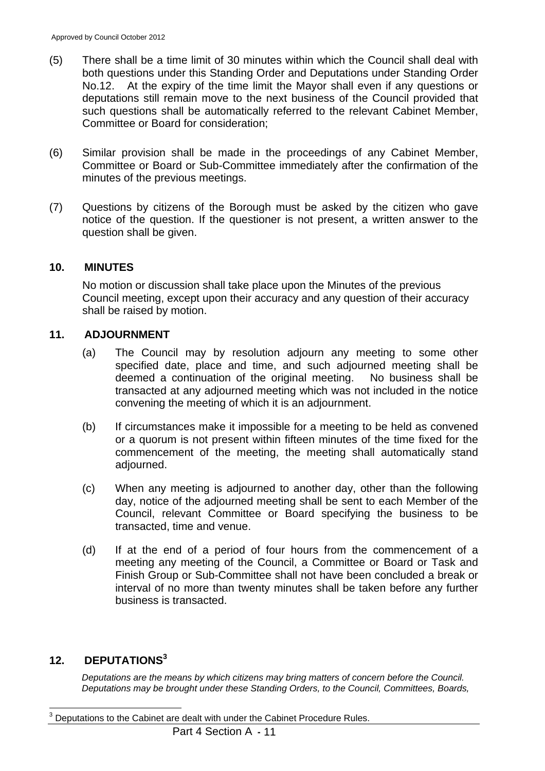- (5) There shall be a time limit of 30 minutes within which the Council shall deal with both questions under this Standing Order and Deputations under Standing Order No.12. At the expiry of the time limit the Mayor shall even if any questions or deputations still remain move to the next business of the Council provided that such questions shall be automatically referred to the relevant Cabinet Member, Committee or Board for consideration;
- (6) Similar provision shall be made in the proceedings of any Cabinet Member, Committee or Board or Sub-Committee immediately after the confirmation of the minutes of the previous meetings.
- (7) Questions by citizens of the Borough must be asked by the citizen who gave notice of the question. If the questioner is not present, a written answer to the question shall be given.

#### **10. MINUTES**

No motion or discussion shall take place upon the Minutes of the previous Council meeting, except upon their accuracy and any question of their accuracy shall be raised by motion.

#### **11. ADJOURNMENT**

- (a) The Council may by resolution adjourn any meeting to some other specified date, place and time, and such adjourned meeting shall be deemed a continuation of the original meeting. No business shall be transacted at any adjourned meeting which was not included in the notice convening the meeting of which it is an adjournment.
- (b) If circumstances make it impossible for a meeting to be held as convened or a quorum is not present within fifteen minutes of the time fixed for the commencement of the meeting, the meeting shall automatically stand adjourned.
- (c) When any meeting is adjourned to another day, other than the following day, notice of the adjourned meeting shall be sent to each Member of the Council, relevant Committee or Board specifying the business to be transacted, time and venue.
- (d) If at the end of a period of four hours from the commencement of a meeting any meeting of the Council, a Committee or Board or Task and Finish Group or Sub-Committee shall not have been concluded a break or interval of no more than twenty minutes shall be taken before any further business is transacted.

## **12. DEPUTATIONS3**

*Deputations are the means by which citizens may bring matters of concern before the Council. Deputations may be brought under these Standing Orders, to the Council, Committees, Boards,* 

l 3 Deputations to the Cabinet are dealt with under the Cabinet Procedure Rules.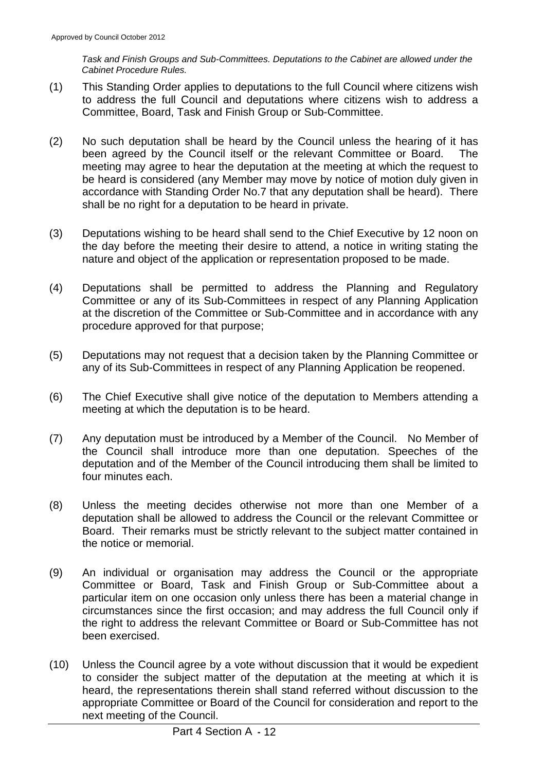*Task and Finish Groups and Sub-Committees. Deputations to the Cabinet are allowed under the Cabinet Procedure Rules.* 

- (1) This Standing Order applies to deputations to the full Council where citizens wish to address the full Council and deputations where citizens wish to address a Committee, Board, Task and Finish Group or Sub-Committee.
- (2) No such deputation shall be heard by the Council unless the hearing of it has been agreed by the Council itself or the relevant Committee or Board. The meeting may agree to hear the deputation at the meeting at which the request to be heard is considered (any Member may move by notice of motion duly given in accordance with Standing Order No.7 that any deputation shall be heard). There shall be no right for a deputation to be heard in private.
- (3) Deputations wishing to be heard shall send to the Chief Executive by 12 noon on the day before the meeting their desire to attend, a notice in writing stating the nature and object of the application or representation proposed to be made.
- (4) Deputations shall be permitted to address the Planning and Regulatory Committee or any of its Sub-Committees in respect of any Planning Application at the discretion of the Committee or Sub-Committee and in accordance with any procedure approved for that purpose;
- (5) Deputations may not request that a decision taken by the Planning Committee or any of its Sub-Committees in respect of any Planning Application be reopened.
- (6) The Chief Executive shall give notice of the deputation to Members attending a meeting at which the deputation is to be heard.
- (7) Any deputation must be introduced by a Member of the Council. No Member of the Council shall introduce more than one deputation. Speeches of the deputation and of the Member of the Council introducing them shall be limited to four minutes each.
- (8) Unless the meeting decides otherwise not more than one Member of a deputation shall be allowed to address the Council or the relevant Committee or Board. Their remarks must be strictly relevant to the subject matter contained in the notice or memorial.
- (9) An individual or organisation may address the Council or the appropriate Committee or Board, Task and Finish Group or Sub-Committee about a particular item on one occasion only unless there has been a material change in circumstances since the first occasion; and may address the full Council only if the right to address the relevant Committee or Board or Sub-Committee has not been exercised.
- (10) Unless the Council agree by a vote without discussion that it would be expedient to consider the subject matter of the deputation at the meeting at which it is heard, the representations therein shall stand referred without discussion to the appropriate Committee or Board of the Council for consideration and report to the next meeting of the Council.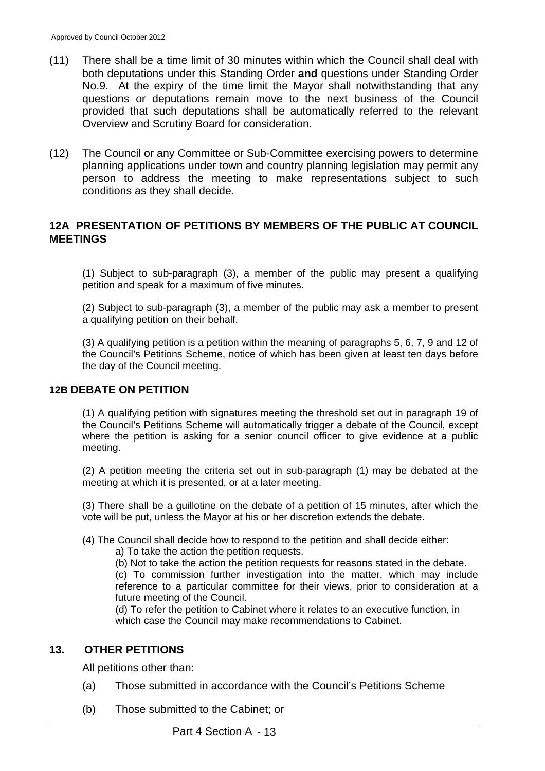- (11) There shall be a time limit of 30 minutes within which the Council shall deal with both deputations under this Standing Order **and** questions under Standing Order No.9. At the expiry of the time limit the Mayor shall notwithstanding that any questions or deputations remain move to the next business of the Council provided that such deputations shall be automatically referred to the relevant Overview and Scrutiny Board for consideration.
- (12) The Council or any Committee or Sub-Committee exercising powers to determine planning applications under town and country planning legislation may permit any person to address the meeting to make representations subject to such conditions as they shall decide.

#### **12A PRESENTATION OF PETITIONS BY MEMBERS OF THE PUBLIC AT COUNCIL MEETINGS**

(1) Subject to sub-paragraph (3), a member of the public may present a qualifying petition and speak for a maximum of five minutes.

(2) Subject to sub-paragraph (3), a member of the public may ask a member to present a qualifying petition on their behalf.

(3) A qualifying petition is a petition within the meaning of paragraphs 5, 6, 7, 9 and 12 of the Council's Petitions Scheme, notice of which has been given at least ten days before the day of the Council meeting.

#### **12B DEBATE ON PETITION**

(1) A qualifying petition with signatures meeting the threshold set out in paragraph 19 of the Council's Petitions Scheme will automatically trigger a debate of the Council, except where the petition is asking for a senior council officer to give evidence at a public meeting.

(2) A petition meeting the criteria set out in sub-paragraph (1) may be debated at the meeting at which it is presented, or at a later meeting.

(3) There shall be a guillotine on the debate of a petition of 15 minutes, after which the vote will be put, unless the Mayor at his or her discretion extends the debate.

- (4) The Council shall decide how to respond to the petition and shall decide either:
	- a) To take the action the petition requests.
	- (b) Not to take the action the petition requests for reasons stated in the debate.

(c) To commission further investigation into the matter, which may include reference to a particular committee for their views, prior to consideration at a future meeting of the Council.

(d) To refer the petition to Cabinet where it relates to an executive function, in which case the Council may make recommendations to Cabinet.

#### **13. OTHER PETITIONS**

All petitions other than:

- (a) Those submitted in accordance with the Council's Petitions Scheme
- (b) Those submitted to the Cabinet; or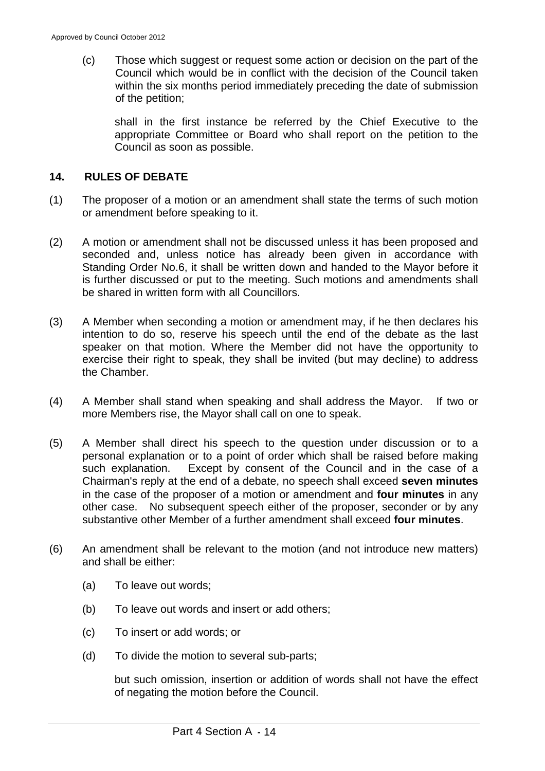(c) Those which suggest or request some action or decision on the part of the Council which would be in conflict with the decision of the Council taken within the six months period immediately preceding the date of submission of the petition;

shall in the first instance be referred by the Chief Executive to the appropriate Committee or Board who shall report on the petition to the Council as soon as possible.

#### **14. RULES OF DEBATE**

- (1) The proposer of a motion or an amendment shall state the terms of such motion or amendment before speaking to it.
- (2) A motion or amendment shall not be discussed unless it has been proposed and seconded and, unless notice has already been given in accordance with Standing Order No.6, it shall be written down and handed to the Mayor before it is further discussed or put to the meeting. Such motions and amendments shall be shared in written form with all Councillors.
- (3) A Member when seconding a motion or amendment may, if he then declares his intention to do so, reserve his speech until the end of the debate as the last speaker on that motion. Where the Member did not have the opportunity to exercise their right to speak, they shall be invited (but may decline) to address the Chamber.
- (4) A Member shall stand when speaking and shall address the Mayor. If two or more Members rise, the Mayor shall call on one to speak.
- (5) A Member shall direct his speech to the question under discussion or to a personal explanation or to a point of order which shall be raised before making such explanation. Except by consent of the Council and in the case of a Chairman's reply at the end of a debate, no speech shall exceed **seven minutes** in the case of the proposer of a motion or amendment and **four minutes** in any other case. No subsequent speech either of the proposer, seconder or by any substantive other Member of a further amendment shall exceed **four minutes**.
- (6) An amendment shall be relevant to the motion (and not introduce new matters) and shall be either:
	- (a) To leave out words;
	- (b) To leave out words and insert or add others;
	- (c) To insert or add words; or
	- (d) To divide the motion to several sub-parts;

but such omission, insertion or addition of words shall not have the effect of negating the motion before the Council.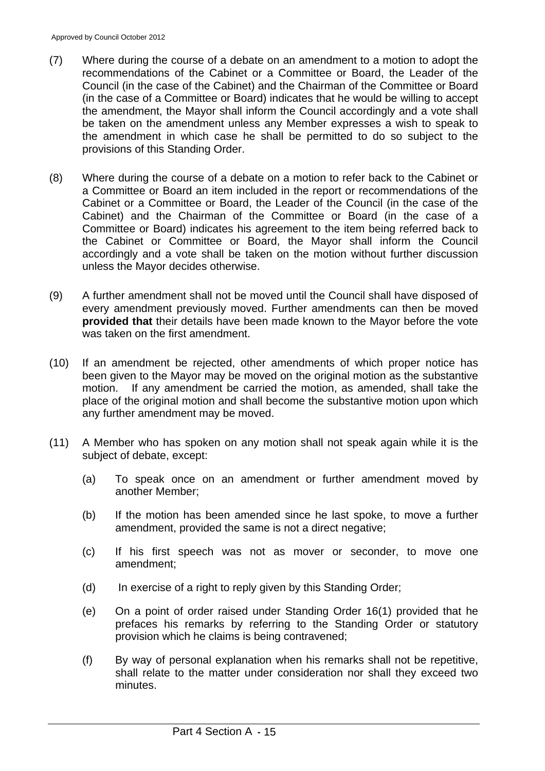- (7) Where during the course of a debate on an amendment to a motion to adopt the recommendations of the Cabinet or a Committee or Board, the Leader of the Council (in the case of the Cabinet) and the Chairman of the Committee or Board (in the case of a Committee or Board) indicates that he would be willing to accept the amendment, the Mayor shall inform the Council accordingly and a vote shall be taken on the amendment unless any Member expresses a wish to speak to the amendment in which case he shall be permitted to do so subject to the provisions of this Standing Order.
- (8) Where during the course of a debate on a motion to refer back to the Cabinet or a Committee or Board an item included in the report or recommendations of the Cabinet or a Committee or Board, the Leader of the Council (in the case of the Cabinet) and the Chairman of the Committee or Board (in the case of a Committee or Board) indicates his agreement to the item being referred back to the Cabinet or Committee or Board, the Mayor shall inform the Council accordingly and a vote shall be taken on the motion without further discussion unless the Mayor decides otherwise.
- (9) A further amendment shall not be moved until the Council shall have disposed of every amendment previously moved. Further amendments can then be moved **provided that** their details have been made known to the Mayor before the vote was taken on the first amendment.
- (10) If an amendment be rejected, other amendments of which proper notice has been given to the Mayor may be moved on the original motion as the substantive motion. If any amendment be carried the motion, as amended, shall take the place of the original motion and shall become the substantive motion upon which any further amendment may be moved.
- (11) A Member who has spoken on any motion shall not speak again while it is the subject of debate, except:
	- (a) To speak once on an amendment or further amendment moved by another Member;
	- (b) If the motion has been amended since he last spoke, to move a further amendment, provided the same is not a direct negative;
	- (c) If his first speech was not as mover or seconder, to move one amendment;
	- (d) In exercise of a right to reply given by this Standing Order:
	- (e) On a point of order raised under Standing Order 16(1) provided that he prefaces his remarks by referring to the Standing Order or statutory provision which he claims is being contravened;
	- (f) By way of personal explanation when his remarks shall not be repetitive, shall relate to the matter under consideration nor shall they exceed two minutes.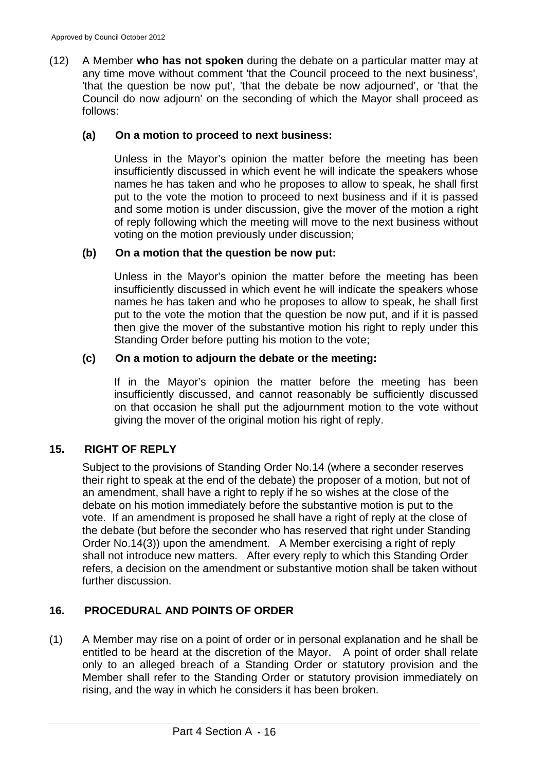(12) A Member **who has not spoken** during the debate on a particular matter may at any time move without comment 'that the Council proceed to the next business', 'that the question be now put', 'that the debate be now adjourned', or 'that the Council do now adjourn' on the seconding of which the Mayor shall proceed as follows:

#### **(a) On a motion to proceed to next business:**

Unless in the Mayor's opinion the matter before the meeting has been insufficiently discussed in which event he will indicate the speakers whose names he has taken and who he proposes to allow to speak, he shall first put to the vote the motion to proceed to next business and if it is passed and some motion is under discussion, give the mover of the motion a right of reply following which the meeting will move to the next business without voting on the motion previously under discussion;

#### **(b) On a motion that the question be now put:**

Unless in the Mayor's opinion the matter before the meeting has been insufficiently discussed in which event he will indicate the speakers whose names he has taken and who he proposes to allow to speak, he shall first put to the vote the motion that the question be now put, and if it is passed then give the mover of the substantive motion his right to reply under this Standing Order before putting his motion to the vote;

#### **(c) On a motion to adjourn the debate or the meeting:**

If in the Mayor's opinion the matter before the meeting has been insufficiently discussed, and cannot reasonably be sufficiently discussed on that occasion he shall put the adjournment motion to the vote without giving the mover of the original motion his right of reply.

#### **15. RIGHT OF REPLY**

Subject to the provisions of Standing Order No.14 (where a seconder reserves their right to speak at the end of the debate) the proposer of a motion, but not of an amendment, shall have a right to reply if he so wishes at the close of the debate on his motion immediately before the substantive motion is put to the vote. If an amendment is proposed he shall have a right of reply at the close of the debate (but before the seconder who has reserved that right under Standing Order No.14(3)) upon the amendment. A Member exercising a right of reply shall not introduce new matters. After every reply to which this Standing Order refers, a decision on the amendment or substantive motion shall be taken without further discussion.

### **16. PROCEDURAL AND POINTS OF ORDER**

(1) A Member may rise on a point of order or in personal explanation and he shall be entitled to be heard at the discretion of the Mayor. A point of order shall relate only to an alleged breach of a Standing Order or statutory provision and the Member shall refer to the Standing Order or statutory provision immediately on rising, and the way in which he considers it has been broken.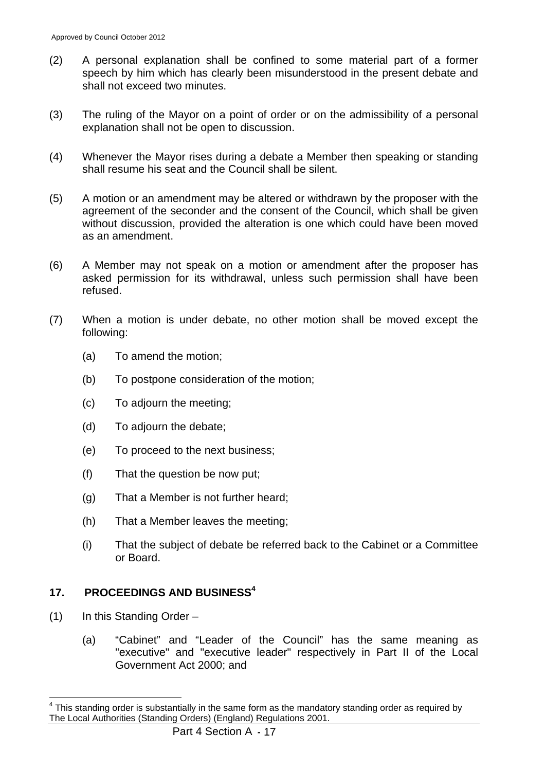- (2) A personal explanation shall be confined to some material part of a former speech by him which has clearly been misunderstood in the present debate and shall not exceed two minutes.
- (3) The ruling of the Mayor on a point of order or on the admissibility of a personal explanation shall not be open to discussion.
- (4) Whenever the Mayor rises during a debate a Member then speaking or standing shall resume his seat and the Council shall be silent.
- (5) A motion or an amendment may be altered or withdrawn by the proposer with the agreement of the seconder and the consent of the Council, which shall be given without discussion, provided the alteration is one which could have been moved as an amendment.
- (6) A Member may not speak on a motion or amendment after the proposer has asked permission for its withdrawal, unless such permission shall have been refused.
- (7) When a motion is under debate, no other motion shall be moved except the following:
	- (a) To amend the motion;
	- (b) To postpone consideration of the motion;
	- (c) To adjourn the meeting;
	- (d) To adjourn the debate;
	- (e) To proceed to the next business;
	- (f) That the question be now put;
	- (g) That a Member is not further heard;
	- (h) That a Member leaves the meeting;
	- (i) That the subject of debate be referred back to the Cabinet or a Committee or Board.

## **17. PROCEEDINGS AND BUSINESS4**

(1) In this Standing Order –

l

(a) "Cabinet" and "Leader of the Council" has the same meaning as "executive" and "executive leader" respectively in Part II of the Local Government Act 2000; and

<sup>4</sup> This standing order is substantially in the same form as the mandatory standing order as required by The Local Authorities (Standing Orders) (England) Regulations 2001.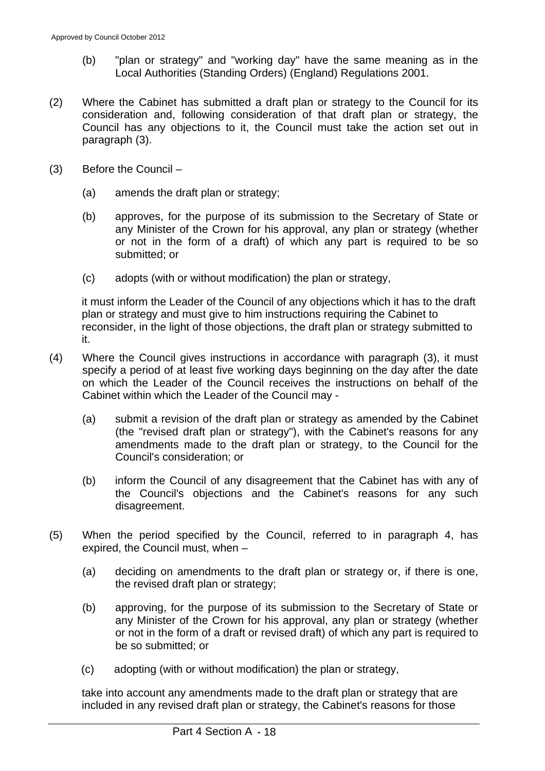- (b) "plan or strategy" and "working day" have the same meaning as in the Local Authorities (Standing Orders) (England) Regulations 2001.
- (2) Where the Cabinet has submitted a draft plan or strategy to the Council for its consideration and, following consideration of that draft plan or strategy, the Council has any objections to it, the Council must take the action set out in paragraph (3).
- (3) Before the Council
	- (a) amends the draft plan or strategy;
	- (b) approves, for the purpose of its submission to the Secretary of State or any Minister of the Crown for his approval, any plan or strategy (whether or not in the form of a draft) of which any part is required to be so submitted; or
	- (c) adopts (with or without modification) the plan or strategy,

it must inform the Leader of the Council of any objections which it has to the draft plan or strategy and must give to him instructions requiring the Cabinet to reconsider, in the light of those objections, the draft plan or strategy submitted to it.

- (4) Where the Council gives instructions in accordance with paragraph (3), it must specify a period of at least five working days beginning on the day after the date on which the Leader of the Council receives the instructions on behalf of the Cabinet within which the Leader of the Council may -
	- (a) submit a revision of the draft plan or strategy as amended by the Cabinet (the "revised draft plan or strategy"), with the Cabinet's reasons for any amendments made to the draft plan or strategy, to the Council for the Council's consideration; or
	- (b) inform the Council of any disagreement that the Cabinet has with any of the Council's objections and the Cabinet's reasons for any such disagreement.
- (5) When the period specified by the Council, referred to in paragraph 4, has expired, the Council must, when –
	- (a) deciding on amendments to the draft plan or strategy or, if there is one, the revised draft plan or strategy;
	- (b) approving, for the purpose of its submission to the Secretary of State or any Minister of the Crown for his approval, any plan or strategy (whether or not in the form of a draft or revised draft) of which any part is required to be so submitted; or
	- (c) adopting (with or without modification) the plan or strategy,

take into account any amendments made to the draft plan or strategy that are included in any revised draft plan or strategy, the Cabinet's reasons for those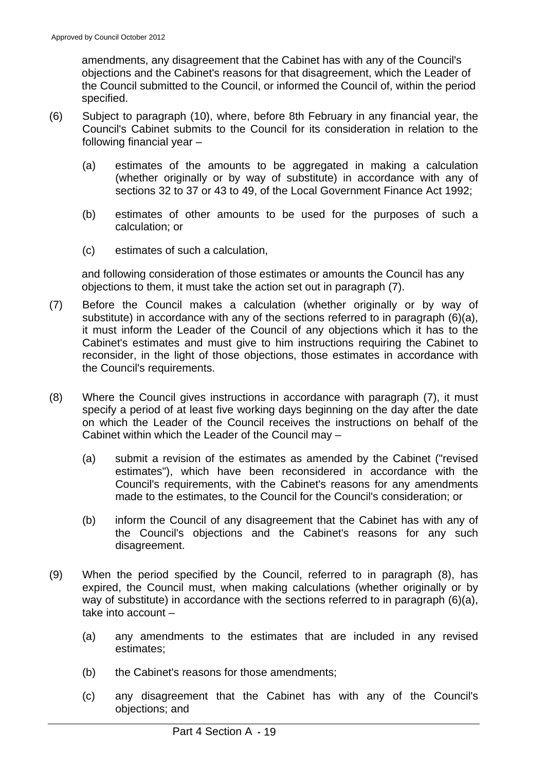amendments, any disagreement that the Cabinet has with any of the Council's objections and the Cabinet's reasons for that disagreement, which the Leader of the Council submitted to the Council, or informed the Council of, within the period specified.

- (6) Subject to paragraph (10), where, before 8th February in any financial year, the Council's Cabinet submits to the Council for its consideration in relation to the following financial year –
	- (a) estimates of the amounts to be aggregated in making a calculation (whether originally or by way of substitute) in accordance with any of sections 32 to 37 or 43 to 49, of the Local Government Finance Act 1992;
	- (b) estimates of other amounts to be used for the purposes of such a calculation; or
	- (c) estimates of such a calculation,

and following consideration of those estimates or amounts the Council has any objections to them, it must take the action set out in paragraph (7).

- (7) Before the Council makes a calculation (whether originally or by way of substitute) in accordance with any of the sections referred to in paragraph (6)(a), it must inform the Leader of the Council of any objections which it has to the Cabinet's estimates and must give to him instructions requiring the Cabinet to reconsider, in the light of those objections, those estimates in accordance with the Council's requirements.
- (8) Where the Council gives instructions in accordance with paragraph (7), it must specify a period of at least five working days beginning on the day after the date on which the Leader of the Council receives the instructions on behalf of the Cabinet within which the Leader of the Council may –
	- (a) submit a revision of the estimates as amended by the Cabinet ("revised estimates"), which have been reconsidered in accordance with the Council's requirements, with the Cabinet's reasons for any amendments made to the estimates, to the Council for the Council's consideration; or
	- (b) inform the Council of any disagreement that the Cabinet has with any of the Council's objections and the Cabinet's reasons for any such disagreement.
- (9) When the period specified by the Council, referred to in paragraph (8), has expired, the Council must, when making calculations (whether originally or by way of substitute) in accordance with the sections referred to in paragraph (6)(a), take into account –
	- (a) any amendments to the estimates that are included in any revised estimates;
	- (b) the Cabinet's reasons for those amendments;
	- (c) any disagreement that the Cabinet has with any of the Council's objections; and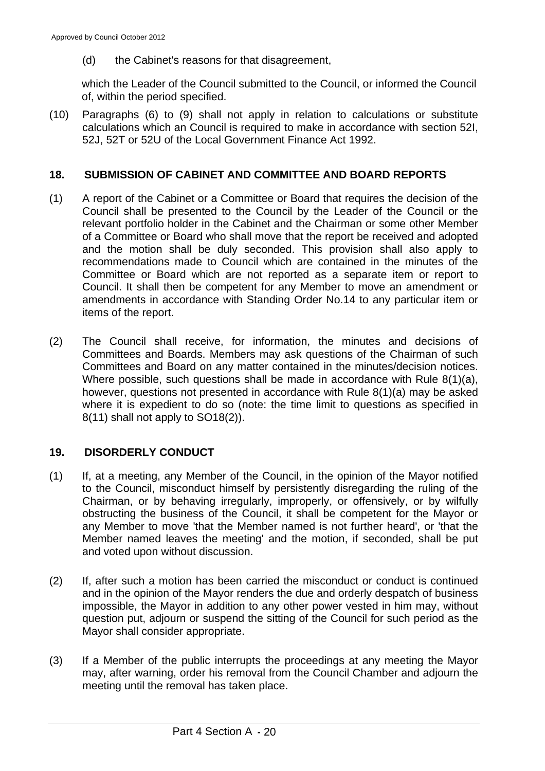(d) the Cabinet's reasons for that disagreement,

which the Leader of the Council submitted to the Council, or informed the Council of, within the period specified.

(10) Paragraphs (6) to (9) shall not apply in relation to calculations or substitute calculations which an Council is required to make in accordance with section 52I, 52J, 52T or 52U of the Local Government Finance Act 1992.

#### **18. SUBMISSION OF CABINET AND COMMITTEE AND BOARD REPORTS**

- (1) A report of the Cabinet or a Committee or Board that requires the decision of the Council shall be presented to the Council by the Leader of the Council or the relevant portfolio holder in the Cabinet and the Chairman or some other Member of a Committee or Board who shall move that the report be received and adopted and the motion shall be duly seconded. This provision shall also apply to recommendations made to Council which are contained in the minutes of the Committee or Board which are not reported as a separate item or report to Council. It shall then be competent for any Member to move an amendment or amendments in accordance with Standing Order No.14 to any particular item or items of the report.
- (2) The Council shall receive, for information, the minutes and decisions of Committees and Boards. Members may ask questions of the Chairman of such Committees and Board on any matter contained in the minutes/decision notices. Where possible, such questions shall be made in accordance with Rule 8(1)(a), however, questions not presented in accordance with Rule 8(1)(a) may be asked where it is expedient to do so (note: the time limit to questions as specified in 8(11) shall not apply to SO18(2)).

#### **19. DISORDERLY CONDUCT**

- (1) If, at a meeting, any Member of the Council, in the opinion of the Mayor notified to the Council, misconduct himself by persistently disregarding the ruling of the Chairman, or by behaving irregularly, improperly, or offensively, or by wilfully obstructing the business of the Council, it shall be competent for the Mayor or any Member to move 'that the Member named is not further heard', or 'that the Member named leaves the meeting' and the motion, if seconded, shall be put and voted upon without discussion.
- (2) If, after such a motion has been carried the misconduct or conduct is continued and in the opinion of the Mayor renders the due and orderly despatch of business impossible, the Mayor in addition to any other power vested in him may, without question put, adjourn or suspend the sitting of the Council for such period as the Mayor shall consider appropriate.
- (3) If a Member of the public interrupts the proceedings at any meeting the Mayor may, after warning, order his removal from the Council Chamber and adjourn the meeting until the removal has taken place.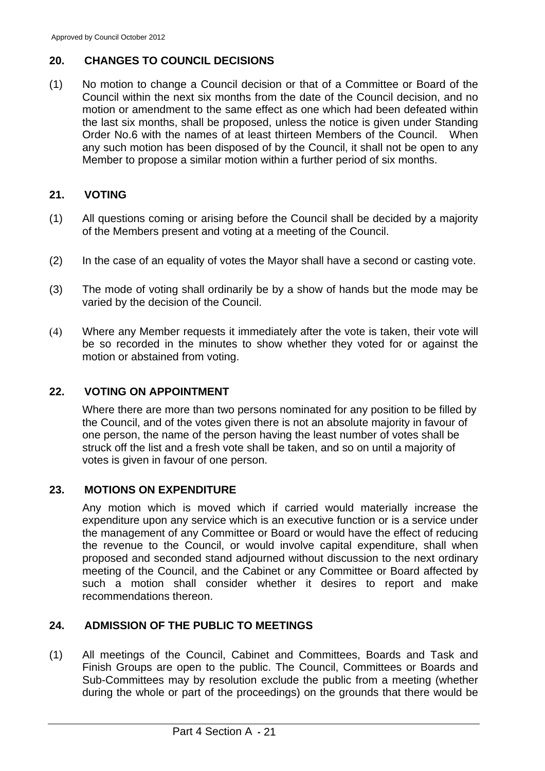## **20. CHANGES TO COUNCIL DECISIONS**

(1) No motion to change a Council decision or that of a Committee or Board of the Council within the next six months from the date of the Council decision, and no motion or amendment to the same effect as one which had been defeated within the last six months, shall be proposed, unless the notice is given under Standing Order No.6 with the names of at least thirteen Members of the Council. When any such motion has been disposed of by the Council, it shall not be open to any Member to propose a similar motion within a further period of six months.

## **21. VOTING**

- (1) All questions coming or arising before the Council shall be decided by a majority of the Members present and voting at a meeting of the Council.
- (2) In the case of an equality of votes the Mayor shall have a second or casting vote.
- (3) The mode of voting shall ordinarily be by a show of hands but the mode may be varied by the decision of the Council.
- (4) Where any Member requests it immediately after the vote is taken, their vote will be so recorded in the minutes to show whether they voted for or against the motion or abstained from voting.

### **22. VOTING ON APPOINTMENT**

Where there are more than two persons nominated for any position to be filled by the Council, and of the votes given there is not an absolute majority in favour of one person, the name of the person having the least number of votes shall be struck off the list and a fresh vote shall be taken, and so on until a majority of votes is given in favour of one person.

#### **23. MOTIONS ON EXPENDITURE**

Any motion which is moved which if carried would materially increase the expenditure upon any service which is an executive function or is a service under the management of any Committee or Board or would have the effect of reducing the revenue to the Council, or would involve capital expenditure, shall when proposed and seconded stand adjourned without discussion to the next ordinary meeting of the Council, and the Cabinet or any Committee or Board affected by such a motion shall consider whether it desires to report and make recommendations thereon.

## **24. ADMISSION OF THE PUBLIC TO MEETINGS**

(1) All meetings of the Council, Cabinet and Committees, Boards and Task and Finish Groups are open to the public. The Council, Committees or Boards and Sub-Committees may by resolution exclude the public from a meeting (whether during the whole or part of the proceedings) on the grounds that there would be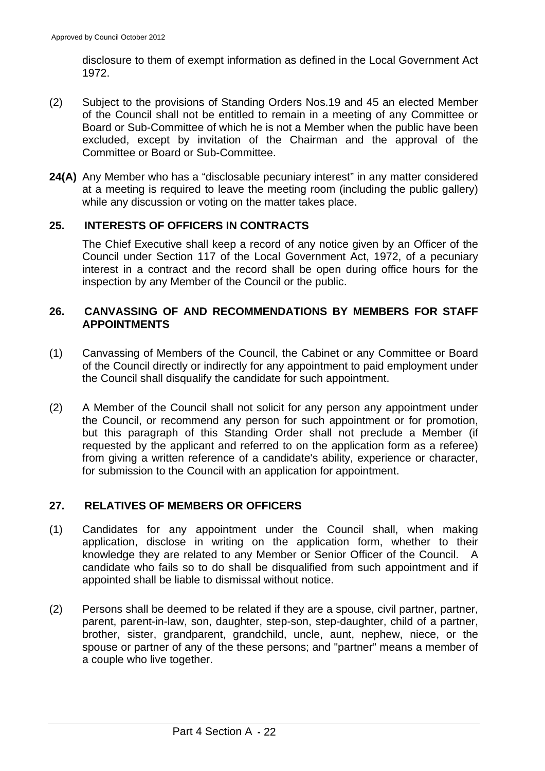disclosure to them of exempt information as defined in the Local Government Act 1972.

- (2) Subject to the provisions of Standing Orders Nos.19 and 45 an elected Member of the Council shall not be entitled to remain in a meeting of any Committee or Board or Sub-Committee of which he is not a Member when the public have been excluded, except by invitation of the Chairman and the approval of the Committee or Board or Sub-Committee.
- **24(A)** Any Member who has a "disclosable pecuniary interest" in any matter considered at a meeting is required to leave the meeting room (including the public gallery) while any discussion or voting on the matter takes place.

#### **25. INTERESTS OF OFFICERS IN CONTRACTS**

The Chief Executive shall keep a record of any notice given by an Officer of the Council under Section 117 of the Local Government Act, 1972, of a pecuniary interest in a contract and the record shall be open during office hours for the inspection by any Member of the Council or the public.

#### **26. CANVASSING OF AND RECOMMENDATIONS BY MEMBERS FOR STAFF APPOINTMENTS**

- (1) Canvassing of Members of the Council, the Cabinet or any Committee or Board of the Council directly or indirectly for any appointment to paid employment under the Council shall disqualify the candidate for such appointment.
- (2) A Member of the Council shall not solicit for any person any appointment under the Council, or recommend any person for such appointment or for promotion, but this paragraph of this Standing Order shall not preclude a Member (if requested by the applicant and referred to on the application form as a referee) from giving a written reference of a candidate's ability, experience or character, for submission to the Council with an application for appointment.

#### **27. RELATIVES OF MEMBERS OR OFFICERS**

- (1) Candidates for any appointment under the Council shall, when making application, disclose in writing on the application form, whether to their knowledge they are related to any Member or Senior Officer of the Council. A candidate who fails so to do shall be disqualified from such appointment and if appointed shall be liable to dismissal without notice.
- (2) Persons shall be deemed to be related if they are a spouse, civil partner, partner, parent, parent-in-law, son, daughter, step-son, step-daughter, child of a partner, brother, sister, grandparent, grandchild, uncle, aunt, nephew, niece, or the spouse or partner of any of the these persons; and "partner" means a member of a couple who live together.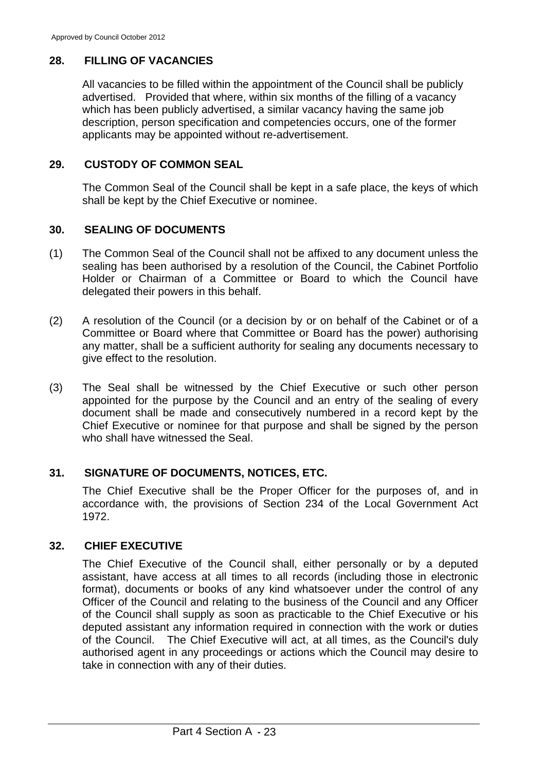## **28. FILLING OF VACANCIES**

All vacancies to be filled within the appointment of the Council shall be publicly advertised. Provided that where, within six months of the filling of a vacancy which has been publicly advertised, a similar vacancy having the same job description, person specification and competencies occurs, one of the former applicants may be appointed without re-advertisement.

## **29. CUSTODY OF COMMON SEAL**

The Common Seal of the Council shall be kept in a safe place, the keys of which shall be kept by the Chief Executive or nominee.

## **30. SEALING OF DOCUMENTS**

- (1) The Common Seal of the Council shall not be affixed to any document unless the sealing has been authorised by a resolution of the Council, the Cabinet Portfolio Holder or Chairman of a Committee or Board to which the Council have delegated their powers in this behalf.
- (2) A resolution of the Council (or a decision by or on behalf of the Cabinet or of a Committee or Board where that Committee or Board has the power) authorising any matter, shall be a sufficient authority for sealing any documents necessary to give effect to the resolution.
- (3) The Seal shall be witnessed by the Chief Executive or such other person appointed for the purpose by the Council and an entry of the sealing of every document shall be made and consecutively numbered in a record kept by the Chief Executive or nominee for that purpose and shall be signed by the person who shall have witnessed the Seal.

## **31. SIGNATURE OF DOCUMENTS, NOTICES, ETC.**

The Chief Executive shall be the Proper Officer for the purposes of, and in accordance with, the provisions of Section 234 of the Local Government Act 1972.

## **32. CHIEF EXECUTIVE**

The Chief Executive of the Council shall, either personally or by a deputed assistant, have access at all times to all records (including those in electronic format), documents or books of any kind whatsoever under the control of any Officer of the Council and relating to the business of the Council and any Officer of the Council shall supply as soon as practicable to the Chief Executive or his deputed assistant any information required in connection with the work or duties of the Council. The Chief Executive will act, at all times, as the Council's duly authorised agent in any proceedings or actions which the Council may desire to take in connection with any of their duties.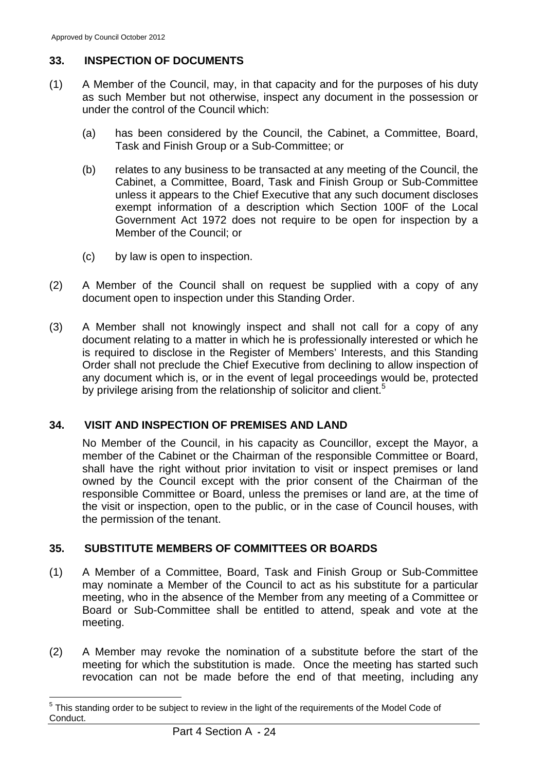## **33. INSPECTION OF DOCUMENTS**

- (1) A Member of the Council, may, in that capacity and for the purposes of his duty as such Member but not otherwise, inspect any document in the possession or under the control of the Council which:
	- (a) has been considered by the Council, the Cabinet, a Committee, Board, Task and Finish Group or a Sub-Committee; or
	- (b) relates to any business to be transacted at any meeting of the Council, the Cabinet, a Committee, Board, Task and Finish Group or Sub-Committee unless it appears to the Chief Executive that any such document discloses exempt information of a description which Section 100F of the Local Government Act 1972 does not require to be open for inspection by a Member of the Council; or
	- (c) by law is open to inspection.
- (2) A Member of the Council shall on request be supplied with a copy of any document open to inspection under this Standing Order.
- (3) A Member shall not knowingly inspect and shall not call for a copy of any document relating to a matter in which he is professionally interested or which he is required to disclose in the Register of Members' Interests, and this Standing Order shall not preclude the Chief Executive from declining to allow inspection of any document which is, or in the event of legal proceedings would be, protected by privilege arising from the relationship of solicitor and client.<sup>5</sup>

#### **34. VISIT AND INSPECTION OF PREMISES AND LAND**

No Member of the Council, in his capacity as Councillor, except the Mayor, a member of the Cabinet or the Chairman of the responsible Committee or Board, shall have the right without prior invitation to visit or inspect premises or land owned by the Council except with the prior consent of the Chairman of the responsible Committee or Board, unless the premises or land are, at the time of the visit or inspection, open to the public, or in the case of Council houses, with the permission of the tenant.

## **35. SUBSTITUTE MEMBERS OF COMMITTEES OR BOARDS**

- (1) A Member of a Committee, Board, Task and Finish Group or Sub-Committee may nominate a Member of the Council to act as his substitute for a particular meeting, who in the absence of the Member from any meeting of a Committee or Board or Sub-Committee shall be entitled to attend, speak and vote at the meeting.
- (2) A Member may revoke the nomination of a substitute before the start of the meeting for which the substitution is made. Once the meeting has started such revocation can not be made before the end of that meeting, including any

l 5 This standing order to be subject to review in the light of the requirements of the Model Code of Conduct.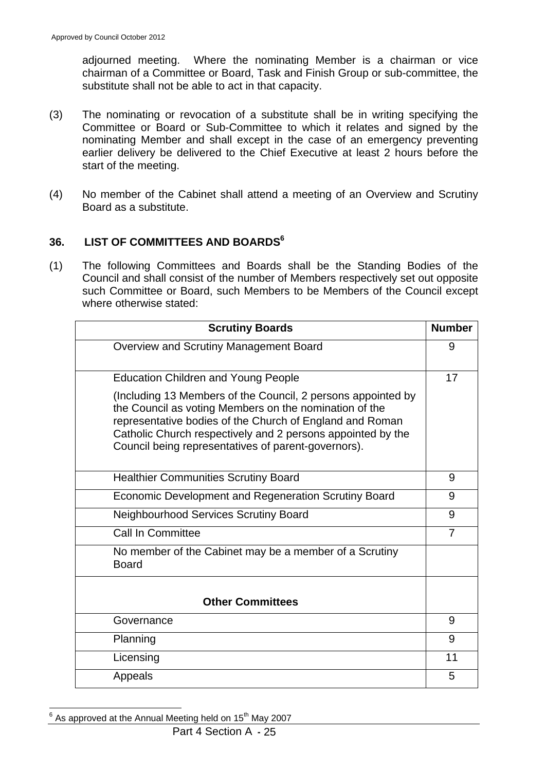adjourned meeting. Where the nominating Member is a chairman or vice chairman of a Committee or Board, Task and Finish Group or sub-committee, the substitute shall not be able to act in that capacity.

- (3) The nominating or revocation of a substitute shall be in writing specifying the Committee or Board or Sub-Committee to which it relates and signed by the nominating Member and shall except in the case of an emergency preventing earlier delivery be delivered to the Chief Executive at least 2 hours before the start of the meeting.
- (4) No member of the Cabinet shall attend a meeting of an Overview and Scrutiny Board as a substitute.

## **36. LIST OF COMMITTEES AND BOARDS6**

(1) The following Committees and Boards shall be the Standing Bodies of the Council and shall consist of the number of Members respectively set out opposite such Committee or Board, such Members to be Members of the Council except where otherwise stated:

| <b>Scrutiny Boards</b>                                                                                                                                                                                                                                                                                   | <b>Number</b>  |
|----------------------------------------------------------------------------------------------------------------------------------------------------------------------------------------------------------------------------------------------------------------------------------------------------------|----------------|
| Overview and Scrutiny Management Board                                                                                                                                                                                                                                                                   | 9              |
| <b>Education Children and Young People</b>                                                                                                                                                                                                                                                               | 17             |
| (Including 13 Members of the Council, 2 persons appointed by<br>the Council as voting Members on the nomination of the<br>representative bodies of the Church of England and Roman<br>Catholic Church respectively and 2 persons appointed by the<br>Council being representatives of parent-governors). |                |
| <b>Healthier Communities Scrutiny Board</b>                                                                                                                                                                                                                                                              | 9              |
| Economic Development and Regeneration Scrutiny Board                                                                                                                                                                                                                                                     | 9              |
| <b>Neighbourhood Services Scrutiny Board</b>                                                                                                                                                                                                                                                             | 9              |
| <b>Call In Committee</b>                                                                                                                                                                                                                                                                                 | $\overline{7}$ |
| No member of the Cabinet may be a member of a Scrutiny<br><b>Board</b>                                                                                                                                                                                                                                   |                |
| <b>Other Committees</b>                                                                                                                                                                                                                                                                                  |                |
| Governance                                                                                                                                                                                                                                                                                               | 9              |
| Planning                                                                                                                                                                                                                                                                                                 | 9              |
| Licensing                                                                                                                                                                                                                                                                                                | 11             |
| Appeals                                                                                                                                                                                                                                                                                                  | 5              |

l 6 As approved at the Annual Meeting held on 15<sup>th</sup> May 2007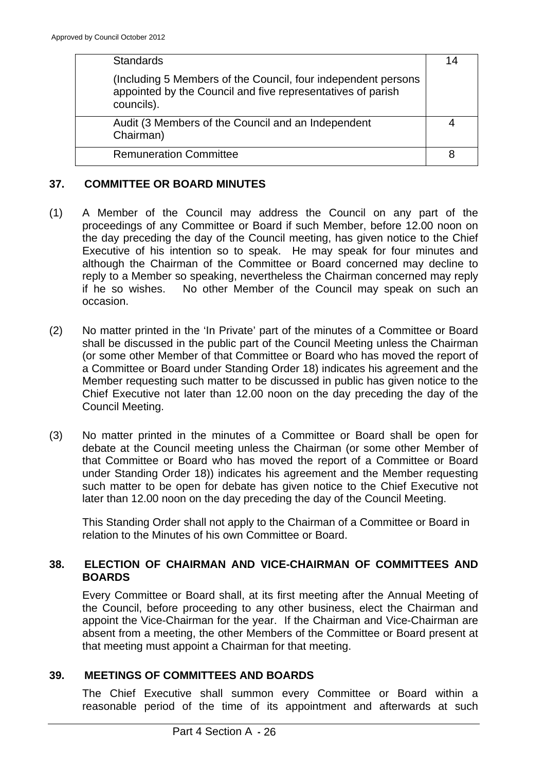| <b>Standards</b>                                                                                                                           | 14 |
|--------------------------------------------------------------------------------------------------------------------------------------------|----|
| (Including 5 Members of the Council, four independent persons<br>appointed by the Council and five representatives of parish<br>councils). |    |
| Audit (3 Members of the Council and an Independent<br>Chairman)                                                                            |    |
| <b>Remuneration Committee</b>                                                                                                              |    |

## **37. COMMITTEE OR BOARD MINUTES**

- (1) A Member of the Council may address the Council on any part of the proceedings of any Committee or Board if such Member, before 12.00 noon on the day preceding the day of the Council meeting, has given notice to the Chief Executive of his intention so to speak. He may speak for four minutes and although the Chairman of the Committee or Board concerned may decline to reply to a Member so speaking, nevertheless the Chairman concerned may reply if he so wishes. No other Member of the Council may speak on such an occasion.
- (2) No matter printed in the 'In Private' part of the minutes of a Committee or Board shall be discussed in the public part of the Council Meeting unless the Chairman (or some other Member of that Committee or Board who has moved the report of a Committee or Board under Standing Order 18) indicates his agreement and the Member requesting such matter to be discussed in public has given notice to the Chief Executive not later than 12.00 noon on the day preceding the day of the Council Meeting.
- (3) No matter printed in the minutes of a Committee or Board shall be open for debate at the Council meeting unless the Chairman (or some other Member of that Committee or Board who has moved the report of a Committee or Board under Standing Order 18)) indicates his agreement and the Member requesting such matter to be open for debate has given notice to the Chief Executive not later than 12.00 noon on the day preceding the day of the Council Meeting.

This Standing Order shall not apply to the Chairman of a Committee or Board in relation to the Minutes of his own Committee or Board.

#### **38. ELECTION OF CHAIRMAN AND VICE-CHAIRMAN OF COMMITTEES AND BOARDS**

Every Committee or Board shall, at its first meeting after the Annual Meeting of the Council, before proceeding to any other business, elect the Chairman and appoint the Vice-Chairman for the year. If the Chairman and Vice-Chairman are absent from a meeting, the other Members of the Committee or Board present at that meeting must appoint a Chairman for that meeting.

## **39. MEETINGS OF COMMITTEES AND BOARDS**

The Chief Executive shall summon every Committee or Board within a reasonable period of the time of its appointment and afterwards at such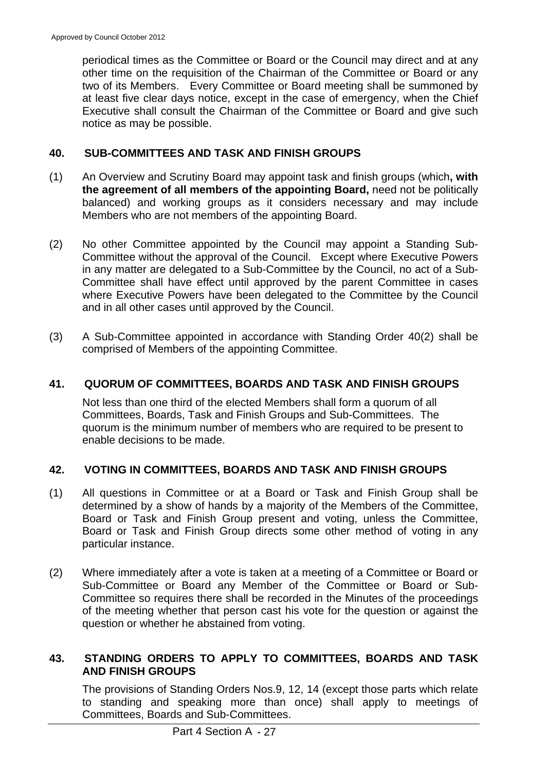periodical times as the Committee or Board or the Council may direct and at any other time on the requisition of the Chairman of the Committee or Board or any two of its Members. Every Committee or Board meeting shall be summoned by at least five clear days notice, except in the case of emergency, when the Chief Executive shall consult the Chairman of the Committee or Board and give such notice as may be possible.

#### **40. SUB-COMMITTEES AND TASK AND FINISH GROUPS**

- (1) An Overview and Scrutiny Board may appoint task and finish groups (which**, with the agreement of all members of the appointing Board,** need not be politically balanced) and working groups as it considers necessary and may include Members who are not members of the appointing Board.
- (2) No other Committee appointed by the Council may appoint a Standing Sub-Committee without the approval of the Council. Except where Executive Powers in any matter are delegated to a Sub-Committee by the Council, no act of a Sub-Committee shall have effect until approved by the parent Committee in cases where Executive Powers have been delegated to the Committee by the Council and in all other cases until approved by the Council.
- (3) A Sub-Committee appointed in accordance with Standing Order 40(2) shall be comprised of Members of the appointing Committee.

## **41. QUORUM OF COMMITTEES, BOARDS AND TASK AND FINISH GROUPS**

Not less than one third of the elected Members shall form a quorum of all Committees, Boards, Task and Finish Groups and Sub-Committees. The quorum is the minimum number of members who are required to be present to enable decisions to be made.

#### **42. VOTING IN COMMITTEES, BOARDS AND TASK AND FINISH GROUPS**

- (1) All questions in Committee or at a Board or Task and Finish Group shall be determined by a show of hands by a majority of the Members of the Committee, Board or Task and Finish Group present and voting, unless the Committee, Board or Task and Finish Group directs some other method of voting in any particular instance.
- (2) Where immediately after a vote is taken at a meeting of a Committee or Board or Sub-Committee or Board any Member of the Committee or Board or Sub-Committee so requires there shall be recorded in the Minutes of the proceedings of the meeting whether that person cast his vote for the question or against the question or whether he abstained from voting.

#### **43. STANDING ORDERS TO APPLY TO COMMITTEES, BOARDS AND TASK AND FINISH GROUPS**

The provisions of Standing Orders Nos.9, 12, 14 (except those parts which relate to standing and speaking more than once) shall apply to meetings of Committees, Boards and Sub-Committees.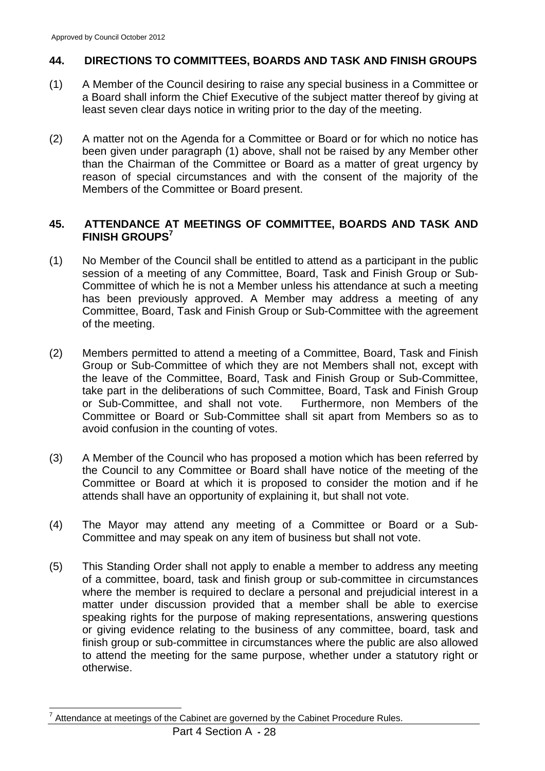### **44. DIRECTIONS TO COMMITTEES, BOARDS AND TASK AND FINISH GROUPS**

- (1) A Member of the Council desiring to raise any special business in a Committee or a Board shall inform the Chief Executive of the subject matter thereof by giving at least seven clear days notice in writing prior to the day of the meeting.
- (2) A matter not on the Agenda for a Committee or Board or for which no notice has been given under paragraph (1) above, shall not be raised by any Member other than the Chairman of the Committee or Board as a matter of great urgency by reason of special circumstances and with the consent of the majority of the Members of the Committee or Board present.

### **45. ATTENDANCE AT MEETINGS OF COMMITTEE, BOARDS AND TASK AND FINISH GROUPS7**

- (1) No Member of the Council shall be entitled to attend as a participant in the public session of a meeting of any Committee, Board, Task and Finish Group or Sub-Committee of which he is not a Member unless his attendance at such a meeting has been previously approved. A Member may address a meeting of any Committee, Board, Task and Finish Group or Sub-Committee with the agreement of the meeting.
- (2) Members permitted to attend a meeting of a Committee, Board, Task and Finish Group or Sub-Committee of which they are not Members shall not, except with the leave of the Committee, Board, Task and Finish Group or Sub-Committee, take part in the deliberations of such Committee, Board, Task and Finish Group or Sub-Committee, and shall not vote. Furthermore, non Members of the Committee or Board or Sub-Committee shall sit apart from Members so as to avoid confusion in the counting of votes.
- (3) A Member of the Council who has proposed a motion which has been referred by the Council to any Committee or Board shall have notice of the meeting of the Committee or Board at which it is proposed to consider the motion and if he attends shall have an opportunity of explaining it, but shall not vote.
- (4) The Mayor may attend any meeting of a Committee or Board or a Sub-Committee and may speak on any item of business but shall not vote.
- (5) This Standing Order shall not apply to enable a member to address any meeting of a committee, board, task and finish group or sub-committee in circumstances where the member is required to declare a personal and prejudicial interest in a matter under discussion provided that a member shall be able to exercise speaking rights for the purpose of making representations, answering questions or giving evidence relating to the business of any committee, board, task and finish group or sub-committee in circumstances where the public are also allowed to attend the meeting for the same purpose, whether under a statutory right or otherwise.

l 7 Attendance at meetings of the Cabinet are governed by the Cabinet Procedure Rules.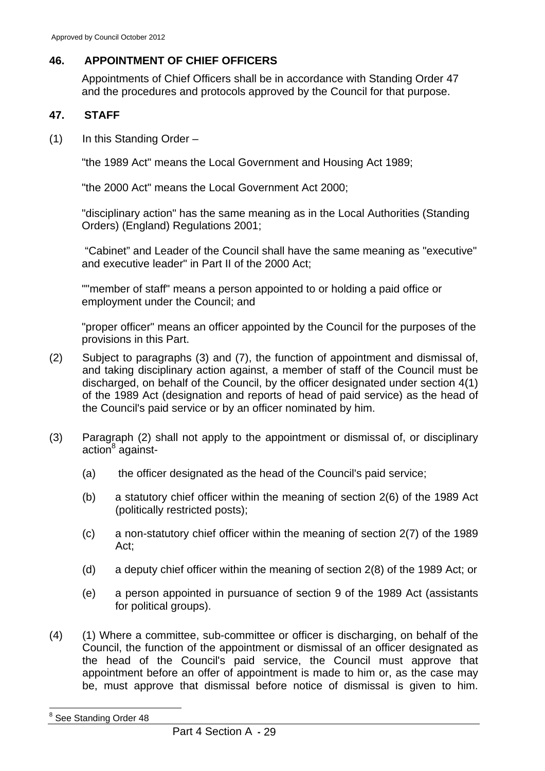## **46. APPOINTMENT OF CHIEF OFFICERS**

Appointments of Chief Officers shall be in accordance with Standing Order 47 and the procedures and protocols approved by the Council for that purpose.

## **47. STAFF**

(1) In this Standing Order –

"the 1989 Act" means the Local Government and Housing Act 1989;

"the 2000 Act" means the Local Government Act 2000;

"disciplinary action" has the same meaning as in the Local Authorities (Standing Orders) (England) Regulations 2001;

 "Cabinet" and Leader of the Council shall have the same meaning as "executive" and executive leader" in Part II of the 2000 Act;

""member of staff" means a person appointed to or holding a paid office or employment under the Council; and

"proper officer" means an officer appointed by the Council for the purposes of the provisions in this Part.

- (2) Subject to paragraphs (3) and (7), the function of appointment and dismissal of, and taking disciplinary action against, a member of staff of the Council must be discharged, on behalf of the Council, by the officer designated under section 4(1) of the 1989 Act (designation and reports of head of paid service) as the head of the Council's paid service or by an officer nominated by him.
- (3) Paragraph (2) shall not apply to the appointment or dismissal of, or disciplinary action<sup>8</sup> against-
	- (a) the officer designated as the head of the Council's paid service;
	- (b) a statutory chief officer within the meaning of section 2(6) of the 1989 Act (politically restricted posts);
	- (c) a non-statutory chief officer within the meaning of section 2(7) of the 1989 Act;
	- (d) a deputy chief officer within the meaning of section 2(8) of the 1989 Act; or
	- (e) a person appointed in pursuance of section 9 of the 1989 Act (assistants for political groups).
- (4) (1) Where a committee, sub-committee or officer is discharging, on behalf of the Council, the function of the appointment or dismissal of an officer designated as the head of the Council's paid service, the Council must approve that appointment before an offer of appointment is made to him or, as the case may be, must approve that dismissal before notice of dismissal is given to him.

l 8 See Standing Order 48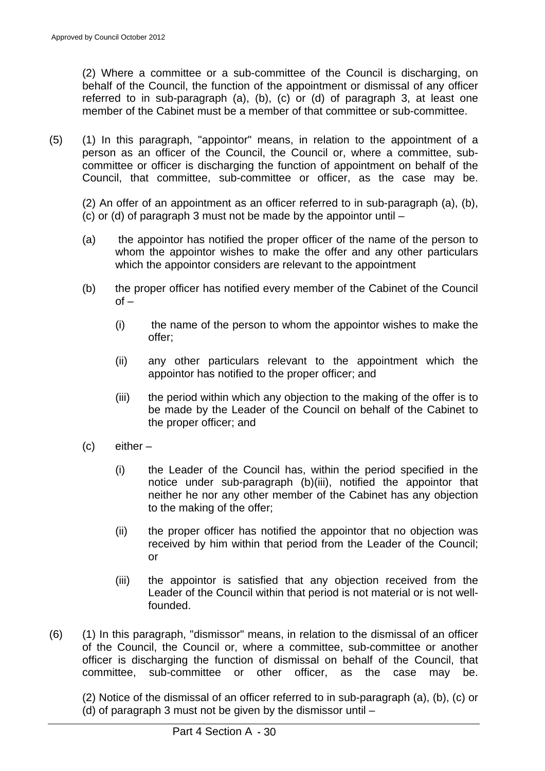(2) Where a committee or a sub-committee of the Council is discharging, on behalf of the Council, the function of the appointment or dismissal of any officer referred to in sub-paragraph (a), (b), (c) or (d) of paragraph 3, at least one member of the Cabinet must be a member of that committee or sub-committee.

- (5) (1) In this paragraph, "appointor" means, in relation to the appointment of a person as an officer of the Council, the Council or, where a committee, subcommittee or officer is discharging the function of appointment on behalf of the Council, that committee, sub-committee or officer, as the case may be.
	- (2) An offer of an appointment as an officer referred to in sub-paragraph (a), (b), (c) or (d) of paragraph 3 must not be made by the appointor until –
	- (a) the appointor has notified the proper officer of the name of the person to whom the appointor wishes to make the offer and any other particulars which the appointor considers are relevant to the appointment
	- (b) the proper officer has notified every member of the Cabinet of the Council  $of -$ 
		- (i) the name of the person to whom the appointor wishes to make the offer;
		- (ii) any other particulars relevant to the appointment which the appointor has notified to the proper officer; and
		- (iii) the period within which any objection to the making of the offer is to be made by the Leader of the Council on behalf of the Cabinet to the proper officer; and
	- (c) either
		- (i) the Leader of the Council has, within the period specified in the notice under sub-paragraph (b)(iii), notified the appointor that neither he nor any other member of the Cabinet has any objection to the making of the offer;
		- (ii) the proper officer has notified the appointor that no objection was received by him within that period from the Leader of the Council; or
		- (iii) the appointor is satisfied that any objection received from the Leader of the Council within that period is not material or is not wellfounded.
- (6) (1) In this paragraph, "dismissor" means, in relation to the dismissal of an officer of the Council, the Council or, where a committee, sub-committee or another officer is discharging the function of dismissal on behalf of the Council, that committee, sub-committee or other officer, as the case may be.

(2) Notice of the dismissal of an officer referred to in sub-paragraph (a), (b), (c) or (d) of paragraph 3 must not be given by the dismissor until –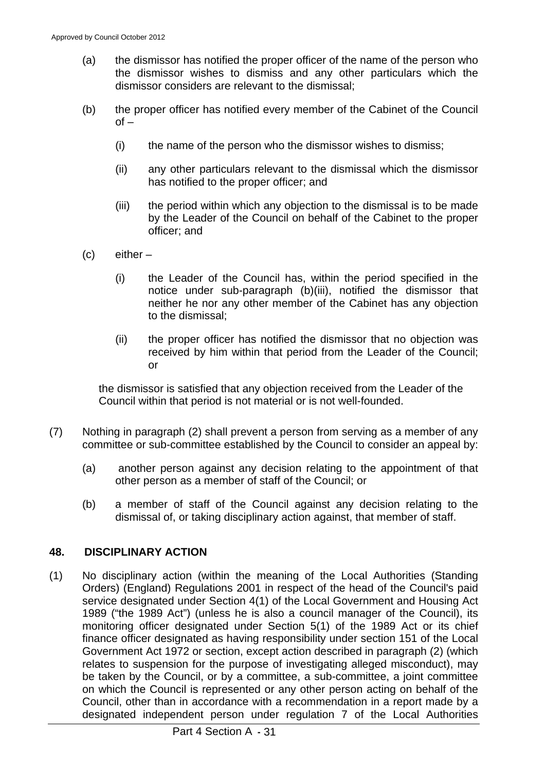- (a) the dismissor has notified the proper officer of the name of the person who the dismissor wishes to dismiss and any other particulars which the dismissor considers are relevant to the dismissal;
- (b) the proper officer has notified every member of the Cabinet of the Council  $of -$ 
	- (i) the name of the person who the dismissor wishes to dismiss;
	- (ii) any other particulars relevant to the dismissal which the dismissor has notified to the proper officer; and
	- (iii) the period within which any objection to the dismissal is to be made by the Leader of the Council on behalf of the Cabinet to the proper officer; and
- (c) either
	- (i) the Leader of the Council has, within the period specified in the notice under sub-paragraph (b)(iii), notified the dismissor that neither he nor any other member of the Cabinet has any objection to the dismissal;
	- (ii) the proper officer has notified the dismissor that no objection was received by him within that period from the Leader of the Council; or

the dismissor is satisfied that any objection received from the Leader of the Council within that period is not material or is not well-founded.

- (7) Nothing in paragraph (2) shall prevent a person from serving as a member of any committee or sub-committee established by the Council to consider an appeal by:
	- (a) another person against any decision relating to the appointment of that other person as a member of staff of the Council; or
	- (b) a member of staff of the Council against any decision relating to the dismissal of, or taking disciplinary action against, that member of staff.

## **48. DISCIPLINARY ACTION**

(1) No disciplinary action (within the meaning of the Local Authorities (Standing Orders) (England) Regulations 2001 in respect of the head of the Council's paid service designated under Section 4(1) of the Local Government and Housing Act 1989 ("the 1989 Act") (unless he is also a council manager of the Council), its monitoring officer designated under Section 5(1) of the 1989 Act or its chief finance officer designated as having responsibility under section 151 of the Local Government Act 1972 or section, except action described in paragraph (2) (which relates to suspension for the purpose of investigating alleged misconduct), may be taken by the Council, or by a committee, a sub-committee, a joint committee on which the Council is represented or any other person acting on behalf of the Council, other than in accordance with a recommendation in a report made by a designated independent person under regulation 7 of the Local Authorities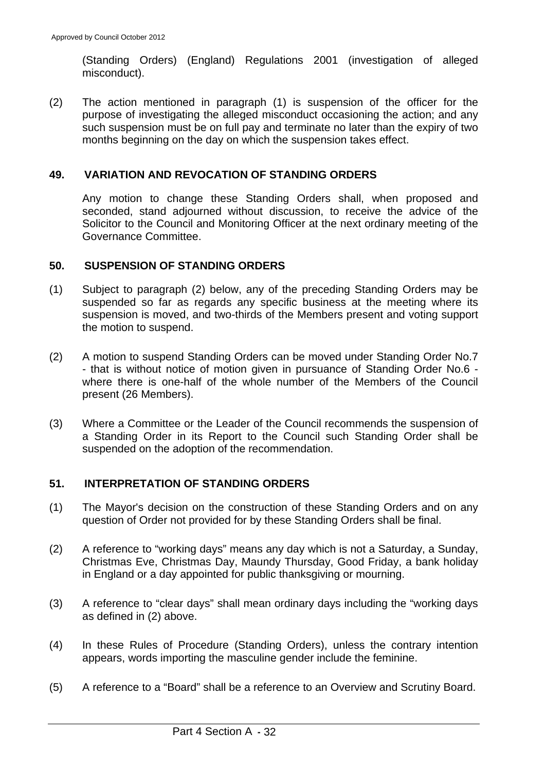(Standing Orders) (England) Regulations 2001 (investigation of alleged misconduct).

(2) The action mentioned in paragraph (1) is suspension of the officer for the purpose of investigating the alleged misconduct occasioning the action; and any such suspension must be on full pay and terminate no later than the expiry of two months beginning on the day on which the suspension takes effect.

#### **49. VARIATION AND REVOCATION OF STANDING ORDERS**

Any motion to change these Standing Orders shall, when proposed and seconded, stand adjourned without discussion, to receive the advice of the Solicitor to the Council and Monitoring Officer at the next ordinary meeting of the Governance Committee.

#### **50. SUSPENSION OF STANDING ORDERS**

- (1) Subject to paragraph (2) below, any of the preceding Standing Orders may be suspended so far as regards any specific business at the meeting where its suspension is moved, and two-thirds of the Members present and voting support the motion to suspend.
- (2) A motion to suspend Standing Orders can be moved under Standing Order No.7 - that is without notice of motion given in pursuance of Standing Order No.6 where there is one-half of the whole number of the Members of the Council present (26 Members).
- (3) Where a Committee or the Leader of the Council recommends the suspension of a Standing Order in its Report to the Council such Standing Order shall be suspended on the adoption of the recommendation.

#### **51. INTERPRETATION OF STANDING ORDERS**

- (1) The Mayor's decision on the construction of these Standing Orders and on any question of Order not provided for by these Standing Orders shall be final.
- (2) A reference to "working days" means any day which is not a Saturday, a Sunday, Christmas Eve, Christmas Day, Maundy Thursday, Good Friday, a bank holiday in England or a day appointed for public thanksgiving or mourning.
- (3) A reference to "clear days" shall mean ordinary days including the "working days as defined in (2) above.
- (4) In these Rules of Procedure (Standing Orders), unless the contrary intention appears, words importing the masculine gender include the feminine.
- (5) A reference to a "Board" shall be a reference to an Overview and Scrutiny Board.